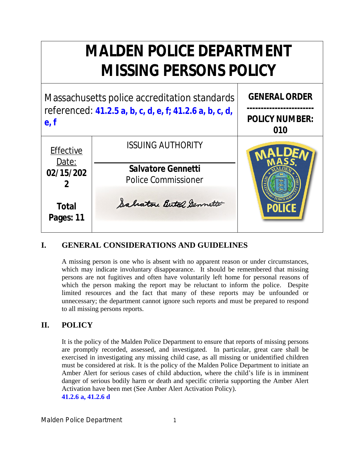# **MALDEN POLICE DEPARTMENT MISSING PERSONS POLICY**



# **I. GENERAL CONSIDERATIONS AND GUIDELINES**

A missing person is one who is absent with no apparent reason or under circumstances, which may indicate involuntary disappearance. It should be remembered that missing persons are not fugitives and often have voluntarily left home for personal reasons of which the person making the report may be reluctant to inform the police. Despite limited resources and the fact that many of these reports may be unfounded or unnecessary; the department cannot ignore such reports and must be prepared to respond to all missing persons reports.

### **II. POLICY**

It is the policy of the Malden Police Department to ensure that reports of missing persons are promptly recorded, assessed, and investigated. In particular, great care shall be exercised in investigating any missing child case, as all missing or unidentified children must be considered at risk. It is the policy of the Malden Police Department to initiate an Amber Alert for serious cases of child abduction, where the child's life is in imminent danger of serious bodily harm or death and specific criteria supporting the Amber Alert Activation have been met (See Amber Alert Activation Policy). **41.2.6 a, 41.2.6 d**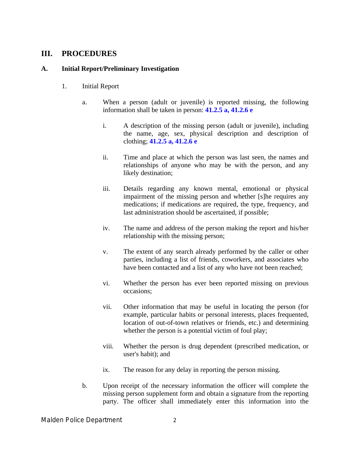#### **III. PROCEDURES**

#### **A. Initial Report/Preliminary Investigation**

- 1. Initial Report
	- a. When a person (adult or juvenile) is reported missing, the following information shall be taken in person: **41.2.5 a, 41.2.6 e**
		- i. A description of the missing person (adult or juvenile), including the name, age, sex, physical description and description of clothing; **41.2.5 a, 41.2.6 e**
		- ii. Time and place at which the person was last seen, the names and relationships of anyone who may be with the person, and any likely destination;
		- iii. Details regarding any known mental, emotional or physical impairment of the missing person and whether [s]he requires any medications; if medications are required, the type, frequency, and last administration should be ascertained, if possible;
		- iv. The name and address of the person making the report and his/her relationship with the missing person;
		- v. The extent of any search already performed by the caller or other parties, including a list of friends, coworkers, and associates who have been contacted and a list of any who have not been reached;
		- vi. Whether the person has ever been reported missing on previous occasions;
		- vii. Other information that may be useful in locating the person (for example, particular habits or personal interests, places frequented, location of out-of-town relatives or friends, etc.) and determining whether the person is a potential victim of foul play;
		- viii. Whether the person is drug dependent (prescribed medication, or user's habit); and
		- ix. The reason for any delay in reporting the person missing.
	- b. Upon receipt of the necessary information the officer will complete the missing person supplement form and obtain a signature from the reporting party. The officer shall immediately enter this information into the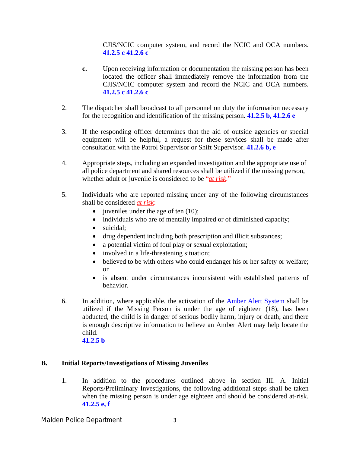CJIS/NCIC computer system, and record the NCIC and OCA numbers. **41.2.5 c 41.2.6 c**

- **c.** Upon receiving information or documentation the missing person has been located the officer shall immediately remove the information from the CJIS/NCIC computer system and record the NCIC and OCA numbers. **41.2.5 c 41.2.6 c**
- 2. The dispatcher shall broadcast to all personnel on duty the information necessary for the recognition and identification of the missing person. **41.2.5 b, 41.2.6 e**
- 3. If the responding officer determines that the aid of outside agencies or special equipment will be helpful, a request for these services shall be made after consultation with the Patrol Supervisor or Shift Supervisor. **41.2.6 b, e**
- 4. Appropriate steps, including an expanded investigation and the appropriate use of all police department and shared resources shall be utilized if the missing person, whether adult or juvenile is considered to be "*at risk*."
- 5. Individuals who are reported missing under any of the following circumstances shall be considered *at risk*:
	- $\bullet$  juveniles under the age of ten (10);
	- individuals who are of mentally impaired or of diminished capacity;
	- suicidal;
	- drug dependent including both prescription and illicit substances;
	- a potential victim of foul play or sexual exploitation;
	- involved in a life-threatening situation;
	- believed to be with others who could endanger his or her safety or welfare; or
	- is absent under circumstances inconsistent with established patterns of behavior.
- 6. In addition, where applicable, the activation of the **[Amber Alert System](file:///\\\\MPD-FS02\\Redirected%20Folders\\phopkins\\My%20Documents\\2022%20Policies\\Chelsea%20PD%20Accreditation\\2%20Investigations\\2.18%20Amber%20Alert%20Activation.doc)** shall be utilized if the Missing Person is under the age of eighteen (18), has been abducted, the child is in danger of serious bodily harm, injury or death; and there is enough descriptive information to believe an Amber Alert may help locate the child. **41.2.5 b**

# **B. Initial Reports/Investigations of Missing Juveniles**

1. In addition to the procedures outlined above in section III. A. Initial Reports/Preliminary Investigations, the following additional steps shall be taken when the missing person is under age eighteen and should be considered at-risk. **41.2.5 e, f**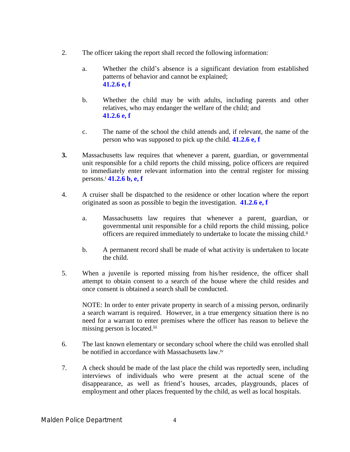- 2. The officer taking the report shall record the following information:
	- a. Whether the child's absence is a significant deviation from established patterns of behavior and cannot be explained; **41.2.6 e, f**
	- b. Whether the child may be with adults, including parents and other relatives, who may endanger the welfare of the child; and **41.2.6 e, f**
	- c. The name of the school the child attends and, if relevant, the name of the person who was supposed to pick up the child. **41.2.6 e, f**
- **3.** Massachusetts law requires that whenever a parent, guardian, or governmental unit responsible for a child reports the child missing, police officers are required to immediately enter relevant information into the central register for missing persons.<sup>i</sup> **41.2.6 b, e, f**
- 4. A cruiser shall be dispatched to the residence or other location where the report originated as soon as possible to begin the investigation. **41.2.6 e, f**
	- a. Massachusetts law requires that whenever a parent, guardian, or governmental unit responsible for a child reports the child missing, police officers are required immediately to undertake to locate the missing child.ii
	- b. A permanent record shall be made of what activity is undertaken to locate the child.
- 5. When a juvenile is reported missing from his/her residence, the officer shall attempt to obtain consent to a search of the house where the child resides and once consent is obtained a search shall be conducted.

NOTE: In order to enter private property in search of a missing person, ordinarily a search warrant is required. However, in a true emergency situation there is no need for a warrant to enter premises where the officer has reason to believe the missing person is located.iii

- 6. The last known elementary or secondary school where the child was enrolled shall be notified in accordance with Massachusetts law.iv
- 7. A check should be made of the last place the child was reportedly seen, including interviews of individuals who were present at the actual scene of the disappearance, as well as friend's houses, arcades, playgrounds, places of employment and other places frequented by the child, as well as local hospitals.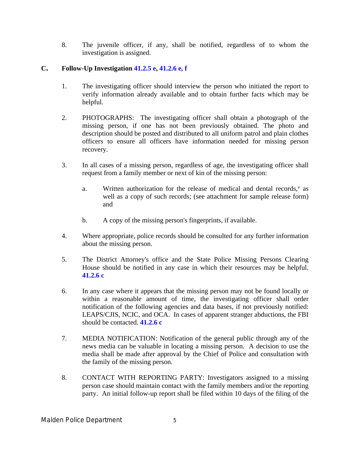8. The juvenile officer, if any, shall be notified, regardless of to whom the investigation is assigned.

#### **C. Follow-Up Investigation 41.2.5 e, 41.2.6 e, f**

- 1. The investigating officer should interview the person who initiated the report to verify information already available and to obtain further facts which may be helpful.
- 2. PHOTOGRAPHS: The investigating officer shall obtain a photograph of the missing person, if one has not been previously obtained. The photo and description should be posted and distributed to all uniform patrol and plain clothes officers to ensure all officers have information needed for missing person recovery.
- 3. In all cases of a missing person, regardless of age, the investigating officer shall request from a family member or next of kin of the missing person:
	- a. Written authorization for the release of medical and dental records,  $\theta$  as well as a copy of such records; (see attachment for sample release form) and
	- b. A copy of the missing person's fingerprints, if available.
- 4. Where appropriate, police records should be consulted for any further information about the missing person.
- 5. The District Attorney's office and the State Police Missing Persons Clearing House should be notified in any case in which their resources may be helpful. **41.2.6 c**
- 6. In any case where it appears that the missing person may not be found locally or within a reasonable amount of time, the investigating officer shall order notification of the following agencies and data bases, if not previously notified: LEAPS/CJIS, NCIC, and OCA. In cases of apparent stranger abductions, the FBI should be contacted. **41.2.6 c**
- 7. MEDIA NOTIFICATION: Notification of the general public through any of the news media can be valuable in locating a missing person. A decision to use the media shall be made after approval by the Chief of Police and consultation with the family of the missing person.
- 8. CONTACT WITH REPORTING PARTY: Investigators assigned to a missing person case should maintain contact with the family members and/or the reporting party. An initial follow-up report shall be filed within 10 days of the filing of the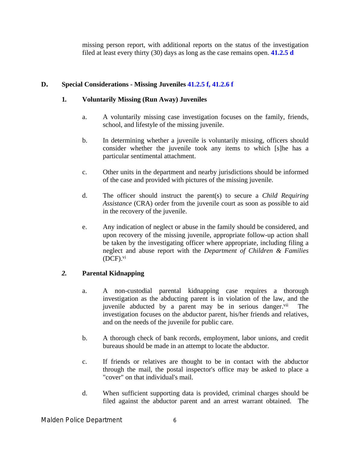missing person report, with additional reports on the status of the investigation filed at least every thirty (30) days as long as the case remains open. **41.2.5 d**

#### **D. Special Considerations - Missing Juveniles 41.2.5 f, 41.2.6 f**

#### **1***.* **Voluntarily Missing (Run Away) Juveniles**

- a. A voluntarily missing case investigation focuses on the family, friends, school, and lifestyle of the missing juvenile.
- b. In determining whether a juvenile is voluntarily missing, officers should consider whether the juvenile took any items to which [s]he has a particular sentimental attachment.
- c. Other units in the department and nearby jurisdictions should be informed of the case and provided with pictures of the missing juvenile.
- d. The officer should instruct the parent(s) to secure a *Child Requiring Assistance* (CRA) order from the juvenile court as soon as possible to aid in the recovery of the juvenile.
- e. Any indication of neglect or abuse in the family should be considered, and upon recovery of the missing juvenile, appropriate follow-up action shall be taken by the investigating officer where appropriate, including filing a neglect and abuse report with the *Department of Children & Families* (DCF). vi

#### *2.* **Parental Kidnapping**

- a. A non-custodial parental kidnapping case requires a thorough investigation as the abducting parent is in violation of the law, and the juvenile abducted by a parent may be in serious danger.<sup>vii</sup> The investigation focuses on the abductor parent, his/her friends and relatives, and on the needs of the juvenile for public care.
- b. A thorough check of bank records, employment, labor unions, and credit bureaus should be made in an attempt to locate the abductor.
- c. If friends or relatives are thought to be in contact with the abductor through the mail, the postal inspector's office may be asked to place a "cover" on that individual's mail.
- d. When sufficient supporting data is provided, criminal charges should be filed against the abductor parent and an arrest warrant obtained. The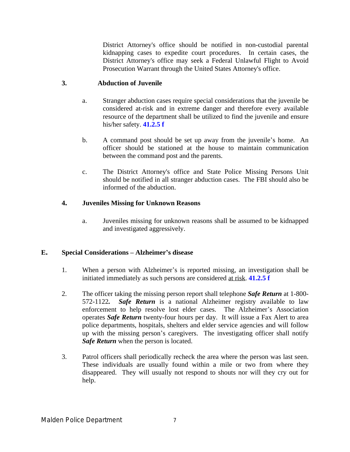District Attorney's office should be notified in non-custodial parental kidnapping cases to expedite court procedures. In certain cases, the District Attorney's office may seek a Federal Unlawful Flight to Avoid Prosecution Warrant through the United States Attorney's office.

#### **3. Abduction of Juvenile**

- a. Stranger abduction cases require special considerations that the juvenile be considered at-risk and in extreme danger and therefore every available resource of the department shall be utilized to find the juvenile and ensure his/her safety. **41.2.5 f**
- b. A command post should be set up away from the juvenile's home. An officer should be stationed at the house to maintain communication between the command post and the parents.
- c. The District Attorney's office and State Police Missing Persons Unit should be notified in all stranger abduction cases. The FBI should also be informed of the abduction.

#### **4. Juveniles Missing for Unknown Reasons**

a. Juveniles missing for unknown reasons shall be assumed to be kidnapped and investigated aggressively.

#### **E. Special Considerations – Alzheimer's disease**

- 1. When a person with Alzheimer's is reported missing, an investigation shall be initiated immediately as such persons are considered at risk. **41.2.5 f**
- 2. The officer taking the missing person report shall telephone *Safe Return* at 1-800- 572-1122*. Safe Return* is a national Alzheimer registry available to law enforcement to help resolve lost elder cases. The Alzheimer's Association operates *Safe Return* twenty-four hours per day. It will issue a Fax Alert to area police departments, hospitals, shelters and elder service agencies and will follow up with the missing person's caregivers. The investigating officer shall notify *Safe Return* when the person is located.
- 3. Patrol officers shall periodically recheck the area where the person was last seen. These individuals are usually found within a mile or two from where they disappeared. They will usually not respond to shouts nor will they cry out for help.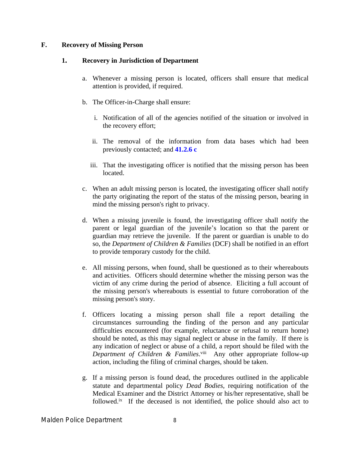#### **F. Recovery of Missing Person**

#### **1. Recovery in Jurisdiction of Department**

- a. Whenever a missing person is located, officers shall ensure that medical attention is provided, if required.
- b. The Officer-in-Charge shall ensure:
	- i. Notification of all of the agencies notified of the situation or involved in the recovery effort;
	- ii. The removal of the information from data bases which had been previously contacted; and **41.2.6 c**
	- iii. That the investigating officer is notified that the missing person has been located.
- c. When an adult missing person is located, the investigating officer shall notify the party originating the report of the status of the missing person, bearing in mind the missing person's right to privacy.
- d. When a missing juvenile is found, the investigating officer shall notify the parent or legal guardian of the juvenile's location so that the parent or guardian may retrieve the juvenile. If the parent or guardian is unable to do so, the *Department of Children & Families* (DCF) shall be notified in an effort to provide temporary custody for the child.
- e. All missing persons, when found, shall be questioned as to their whereabouts and activities. Officers should determine whether the missing person was the victim of any crime during the period of absence. Eliciting a full account of the missing person's whereabouts is essential to future corroboration of the missing person's story.
- f. Officers locating a missing person shall file a report detailing the circumstances surrounding the finding of the person and any particular difficulties encountered (for example, reluctance or refusal to return home) should be noted, as this may signal neglect or abuse in the family. If there is any indication of neglect or abuse of a child, a report should be filed with the *Department of Children & Families*. viii Any other appropriate follow-up action, including the filing of criminal charges, should be taken.
- g. If a missing person is found dead, the procedures outlined in the applicable statute and departmental policy *Dead Bodies*, requiring notification of the Medical Examiner and the District Attorney or his/her representative, shall be followed.<sup>ix</sup> If the deceased is not identified, the police should also act to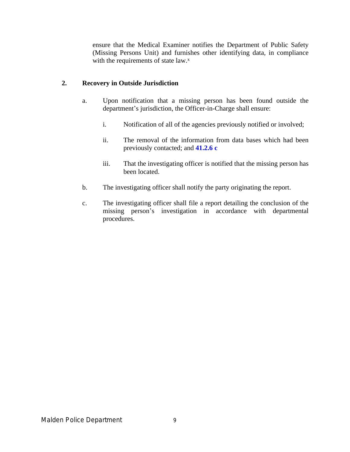ensure that the Medical Examiner notifies the Department of Public Safety (Missing Persons Unit) and furnishes other identifying data, in compliance with the requirements of state law.<sup>x</sup>

#### **2. Recovery in Outside Jurisdiction**

- a. Upon notification that a missing person has been found outside the department's jurisdiction, the Officer-in-Charge shall ensure:
	- i. Notification of all of the agencies previously notified or involved;
	- ii. The removal of the information from data bases which had been previously contacted; and **41.2.6 c**
	- iii. That the investigating officer is notified that the missing person has been located.
- b. The investigating officer shall notify the party originating the report.
- c. The investigating officer shall file a report detailing the conclusion of the missing person's investigation in accordance with departmental procedures.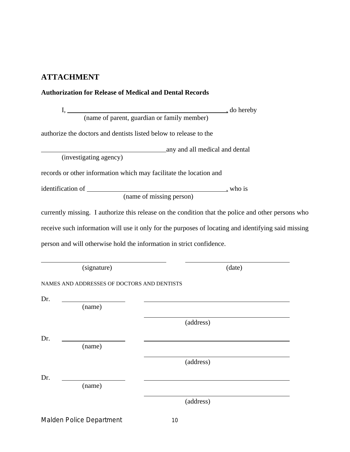## **ATTACHMENT**

#### **Authorization for Release of Medical and Dental Records**

|     | authorize the doctors and dentists listed below to release to the |                                                                                                     |
|-----|-------------------------------------------------------------------|-----------------------------------------------------------------------------------------------------|
|     |                                                                   | any and all medical and dental                                                                      |
|     | (investigating agency)                                            |                                                                                                     |
|     |                                                                   | records or other information which may facilitate the location and                                  |
|     |                                                                   |                                                                                                     |
|     |                                                                   | (name of missing person)                                                                            |
|     |                                                                   | currently missing. I authorize this release on the condition that the police and other persons who  |
|     |                                                                   | receive such information will use it only for the purposes of locating and identifying said missing |
|     |                                                                   |                                                                                                     |
|     |                                                                   | person and will otherwise hold the information in strict confidence.                                |
|     |                                                                   |                                                                                                     |
|     | (signature)                                                       | (date)                                                                                              |
|     | NAMES AND ADDRESSES OF DOCTORS AND DENTISTS                       |                                                                                                     |
|     |                                                                   |                                                                                                     |
| Dr. | (name)                                                            |                                                                                                     |
|     |                                                                   |                                                                                                     |
|     |                                                                   | (address)                                                                                           |
| Dr. |                                                                   |                                                                                                     |
|     | (name)                                                            |                                                                                                     |
|     |                                                                   | (address)                                                                                           |
|     |                                                                   |                                                                                                     |
| Dr. | (name)                                                            |                                                                                                     |
|     |                                                                   |                                                                                                     |
|     |                                                                   | (address)                                                                                           |
|     | Malden Police Department                                          | 10                                                                                                  |
|     |                                                                   |                                                                                                     |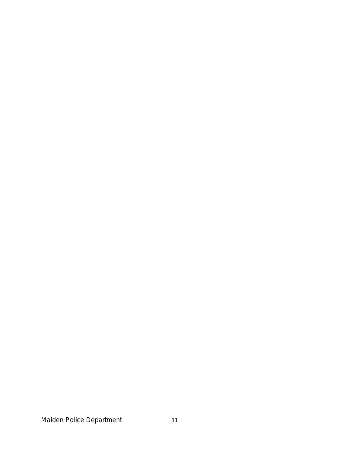Malden Police Department 11